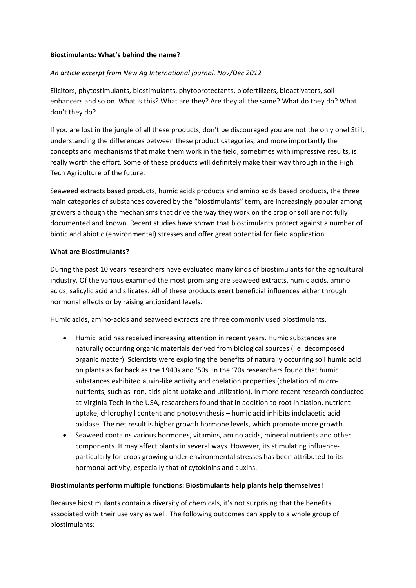### **Biostimulants: What's behind the name?**

# *An article excerpt from New Ag International journal, Nov/Dec 2012*

Elicitors, phytostimulants, biostimulants, phytoprotectants, biofertilizers, bioactivators, soil enhancers and so on. What is this? What are they? Are they all the same? What do they do? What don't they do?

If you are lost in the jungle of all these products, don't be discouraged you are not the only one! Still, understanding the differences between these product categories, and more importantly the concepts and mechanisms that make them work in the field, sometimes with impressive results, is really worth the effort. Some of these products will definitely make their way through in the High Tech Agriculture of the future.

Seaweed extracts based products, humic acids products and amino acids based products, the three main categories of substances covered by the "biostimulants" term, are increasingly popular among growers although the mechanisms that drive the way they work on the crop or soil are not fully documented and known. Recent studies have shown that biostimulants protect against a number of biotic and abiotic (environmental) stresses and offer great potential for field application.

#### **What are Biostimulants?**

During the past 10 years researchers have evaluated many kinds of biostimulants for the agricultural industry. Of the various examined the most promising are seaweed extracts, humic acids, amino acids, salicylic acid and silicates. All of these products exert beneficial influences either through hormonal effects or by raising antioxidant levels.

Humic acids, amino‐acids and seaweed extracts are three commonly used biostimulants.

- Humic acid has received increasing attention in recent years. Humic substances are naturally occurring organic materials derived from biological sources (i.e. decomposed organic matter). Scientists were exploring the benefits of naturally occurring soil humic acid on plants as far back as the 1940s and '50s. In the '70s researchers found that humic substances exhibited auxin-like activity and chelation properties (chelation of micronutrients, such as iron, aids plant uptake and utilization). In more recent research conducted at Virginia Tech in the USA, researchers found that in addition to root initiation, nutrient uptake, chlorophyll content and photosynthesis – humic acid inhibits indolacetic acid oxidase. The net result is higher growth hormone levels, which promote more growth.
- Seaweed contains various hormones, vitamins, amino acids, mineral nutrients and other components. It may affect plants in several ways. However, its stimulating influence‐ particularly for crops growing under environmental stresses has been attributed to its hormonal activity, especially that of cytokinins and auxins.

#### **Biostimulants perform multiple functions: Biostimulants help plants help themselves!**

Because biostimulants contain a diversity of chemicals, it's not surprising that the benefits associated with their use vary as well. The following outcomes can apply to a whole group of biostimulants: